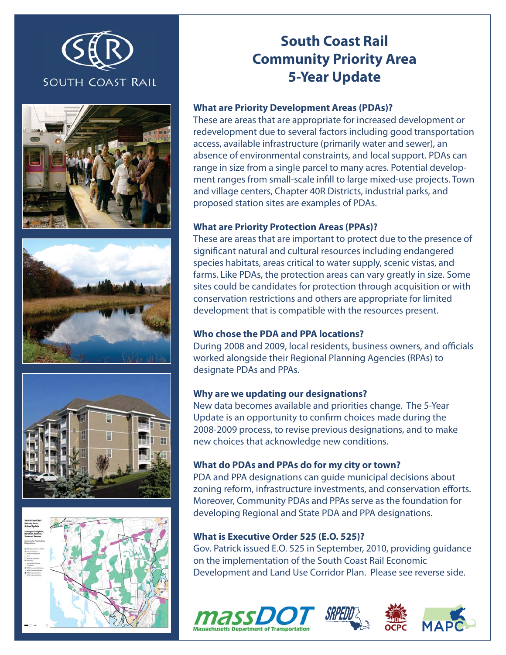









# **South Coast Rail Community Priority Area 5-Year Update**

### **What are Priority Development Areas (PDAs)?**

These are areas that are appropriate for increased development or redevelopment due to several factors including good transportation access, available infrastructure (primarily water and sewer), an absence of environmental constraints, and local support. PDAs can range in size from a single parcel to many acres. Potential development ranges from small-scale infill to large mixed-use projects. Town and village centers, Chapter 40R Districts, industrial parks, and proposed station sites are examples of PDAs.

#### **What are Priority Protection Areas (PPAs)?**

These are areas that are important to protect due to the presence of significant natural and cultural resources including endangered species habitats, areas critical to water supply, scenic vistas, and farms. Like PDAs, the protection areas can vary greatly in size. Some sites could be candidates for protection through acquisition or with conservation restrictions and others are appropriate for limited development that is compatible with the resources present.

## **Who chose the PDA and PPA locations?**

During 2008 and 2009, local residents, business owners, and officials worked alongside their Regional Planning Agencies (RPAs) to designate PDAs and PPAs.

#### **Why are we updating our designations?**

New data becomes available and priorities change. The 5-Year Update is an opportunity to confirm choices made during the 2008-2009 process, to revise previous designations, and to make new choices that acknowledge new conditions.

## **What do PDAs and PPAs do for my city or town?**

PDA and PPA designations can guide municipal decisions about zoning reform, infrastructure investments, and conservation efforts. Moreover, Community PDAs and PPAs serve as the foundation for developing Regional and State PDA and PPA designations.

#### **What is Executive Order 525 (E.O. 525)?**

Gov. Patrick issued E.O. 525 in September, 2010, providing guidance on the implementation of the South Coast Rail Economic Development and Land Use Corridor Plan. Please see reverse side.